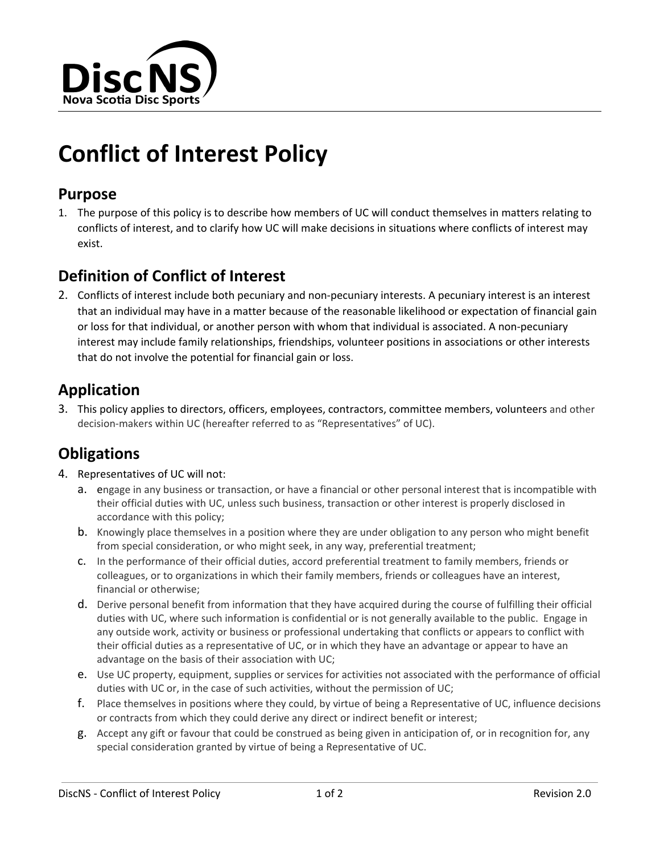

# **Conflict of Interest Policy**

#### **Purpose**

1. The purpose of this policy is to describe how members of UC will conduct themselves in matters relating to conflicts of interest, and to clarify how UC will make decisions in situations where conflicts of interest may exist.

#### **Definition of Conflict of Interest**

2. Conflicts of interest include both pecuniary and non-pecuniary interests. A pecuniary interest is an interest that an individual may have in a matter because of the reasonable likelihood or expectation of financial gain or loss for that individual, or another person with whom that individual is associated. A non-pecuniary interest may include family relationships, friendships, volunteer positions in associations or other interests that do not involve the potential for financial gain or loss.

### **Application**

3. This policy applies to directors, officers, employees, contractors, committee members, volunteers and other decision-makers within UC (hereafter referred to as "Representatives" of UC).

### **Obligations**

- 4. Representatives of UC will not:
	- a. engage in any business or transaction, or have a financial or other personal interest that is incompatible with their official duties with UC, unless such business, transaction or other interest is properly disclosed in accordance with this policy;
	- b. Knowingly place themselves in a position where they are under obligation to any person who might benefit from special consideration, or who might seek, in any way, preferential treatment;
	- c. In the performance of their official duties, accord preferential treatment to family members, friends or colleagues, or to organizations in which their family members, friends or colleagues have an interest, financial or otherwise;
	- d. Derive personal benefit from information that they have acquired during the course of fulfilling their official duties with UC, where such information is confidential or is not generally available to the public. Engage in any outside work, activity or business or professional undertaking that conflicts or appears to conflict with their official duties as a representative of UC, or in which they have an advantage or appear to have an advantage on the basis of their association with UC;
	- e. Use UC property, equipment, supplies or services for activities not associated with the performance of official duties with UC or, in the case of such activities, without the permission of UC;
	- f. Place themselves in positions where they could, by virtue of being a Representative of UC, influence decisions or contracts from which they could derive any direct or indirect benefit or interest;
	- g. Accept any gift or favour that could be construed as being given in anticipation of, or in recognition for, any special consideration granted by virtue of being a Representative of UC.